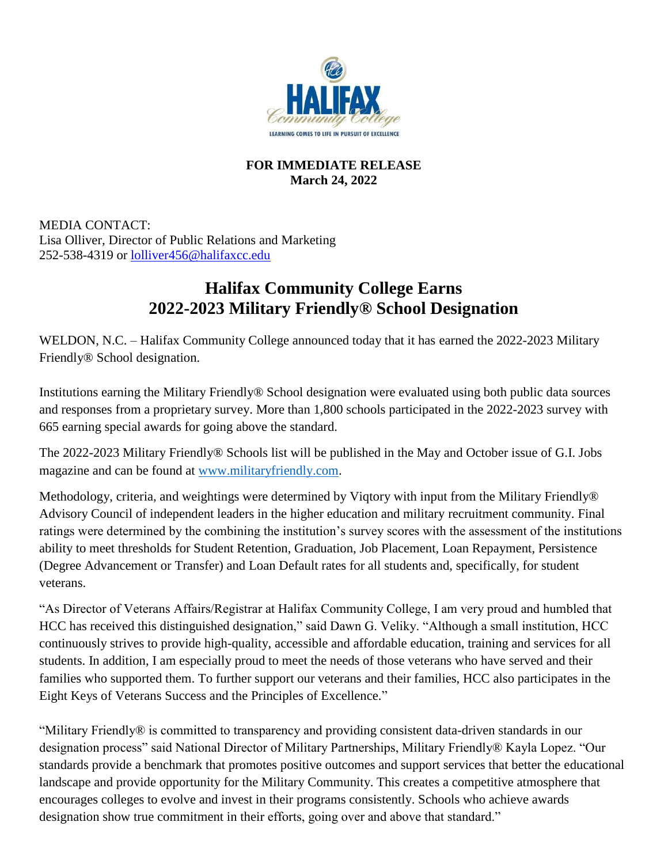

## **FOR IMMEDIATE RELEASE March 24, 2022**

MEDIA CONTACT: Lisa Olliver, Director of Public Relations and Marketing 252-538-4319 or [lolliver456@halifaxcc.edu](mailto:lolliver456@halifaxcc.edu)

# **Halifax Community College Earns 2022-2023 Military Friendly® School Designation**

WELDON, N.C. – Halifax Community College announced today that it has earned the 2022-2023 Military Friendly® School designation.

Institutions earning the Military Friendly® School designation were evaluated using both public data sources and responses from a proprietary survey. More than 1,800 schools participated in the 2022-2023 survey with 665 earning special awards for going above the standard.

The 2022-2023 Military Friendly® Schools list will be published in the May and October issue of G.I. Jobs magazine and can be found at [www.militaryfriendly.com.](http://www.militaryfriendly.com/)

Methodology, criteria, and weightings were determined by Viqtory with input from the Military Friendly® Advisory Council of independent leaders in the higher education and military recruitment community. Final ratings were determined by the combining the institution's survey scores with the assessment of the institutions ability to meet thresholds for Student Retention, Graduation, Job Placement, Loan Repayment, Persistence (Degree Advancement or Transfer) and Loan Default rates for all students and, specifically, for student veterans.

"As Director of Veterans Affairs/Registrar at Halifax Community College, I am very proud and humbled that HCC has received this distinguished designation," said Dawn G. Veliky. "Although a small institution, HCC continuously strives to provide high-quality, accessible and affordable education, training and services for all students. In addition, I am especially proud to meet the needs of those veterans who have served and their families who supported them. To further support our veterans and their families, HCC also participates in the Eight Keys of Veterans Success and the Principles of Excellence."

"Military Friendly® is committed to transparency and providing consistent data-driven standards in our designation process" said National Director of Military Partnerships, Military Friendly® Kayla Lopez. "Our standards provide a benchmark that promotes positive outcomes and support services that better the educational landscape and provide opportunity for the Military Community. This creates a competitive atmosphere that encourages colleges to evolve and invest in their programs consistently. Schools who achieve awards designation show true commitment in their efforts, going over and above that standard."